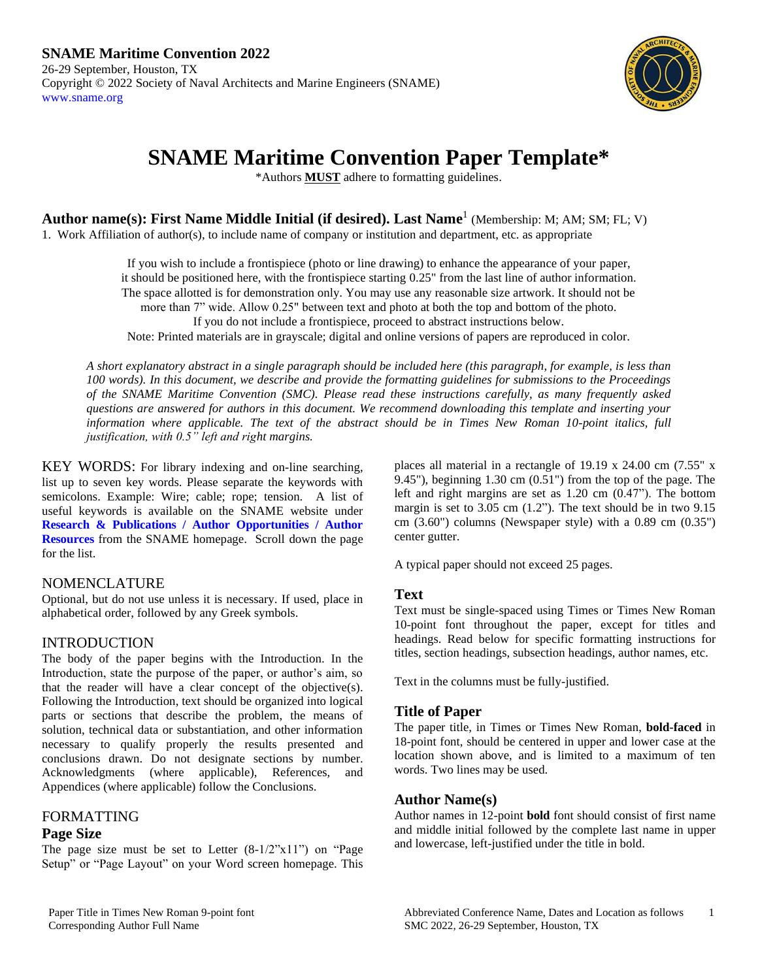

# **SNAME Maritime Convention Paper Template\***

\*Authors **MUST** adhere to formatting guidelines.

**Author name(s): First Name Middle Initial (if desired). Last Name**<sup>1</sup> (Membership: M; AM; SM; FL; V)

1. Work Affiliation of author(s), to include name of company or institution and department, etc. as appropriate

If you wish to include a frontispiece (photo or line drawing) to enhance the appearance of your paper, it should be positioned here, with the frontispiece starting 0.25" from the last line of author information. The space allotted is for demonstration only. You may use any reasonable size artwork. It should not be more than 7" wide. Allow 0.25" between text and photo at both the top and bottom of the photo. If you do not include a frontispiece, proceed to abstract instructions below. Note: Printed materials are in grayscale; digital and online versions of papers are reproduced in color.

*A short explanatory abstract in a single paragraph should be included here (this paragraph, for example, is less than 100 words). In this document, we describe and provide the formatting guidelines for submissions to the Proceedings of the SNAME Maritime Convention (SMC). Please read these instructions carefully, as many frequently asked questions are answered for authors in this document. We recommend downloading this template and inserting your information where applicable. The text of the abstract should be in Times New Roman 10-point italics, full justification, with 0.5" left and right margins.*

KEY WORDS: For library indexing and on-line searching, list up to seven key words. Please separate the keywords with semicolons. Example: Wire; cable; rope; tension. A list of useful keywords is available on the SNAME website under **[Research & Publications / Author Opportunities / Author](https://www.sname.org/sites/default/files/2020-11/SNAME%20Keywords.pdf)  [Resources](https://www.sname.org/sites/default/files/2020-11/SNAME%20Keywords.pdf)** from the SNAME homepage. Scroll down the page for the list.

## NOMENCLATURE

Optional, but do not use unless it is necessary. If used, place in alphabetical order, followed by any Greek symbols.

## INTRODUCTION

The body of the paper begins with the Introduction. In the Introduction, state the purpose of the paper, or author's aim, so that the reader will have a clear concept of the objective(s). Following the Introduction, text should be organized into logical parts or sections that describe the problem, the means of solution, technical data or substantiation, and other information necessary to qualify properly the results presented and conclusions drawn. Do not designate sections by number. Acknowledgments (where applicable), References, and Appendices (where applicable) follow the Conclusions.

## FORMATTING

## **Page Size**

The page size must be set to Letter  $(8-1/2"x11")$  on "Page Setup" or "Page Layout" on your Word screen homepage. This places all material in a rectangle of 19.19 x 24.00 cm (7.55" x 9.45"), beginning 1.30 cm (0.51") from the top of the page. The left and right margins are set as 1.20 cm (0.47"). The bottom margin is set to 3.05 cm (1.2"). The text should be in two 9.15 cm (3.60") columns (Newspaper style) with a 0.89 cm (0.35") center gutter.

A typical paper should not exceed 25 pages.

## **Text**

Text must be single-spaced using Times or Times New Roman 10-point font throughout the paper, except for titles and headings. Read below for specific formatting instructions for titles, section headings, subsection headings, author names, etc.

Text in the columns must be fully-justified.

## **Title of Paper**

The paper title, in Times or Times New Roman, **bold-faced** in 18-point font, should be centered in upper and lower case at the location shown above, and is limited to a maximum of ten words. Two lines may be used.

## **Author Name(s)**

Author names in 12-point **bold** font should consist of first name and middle initial followed by the complete last name in upper and lowercase, left-justified under the title in bold.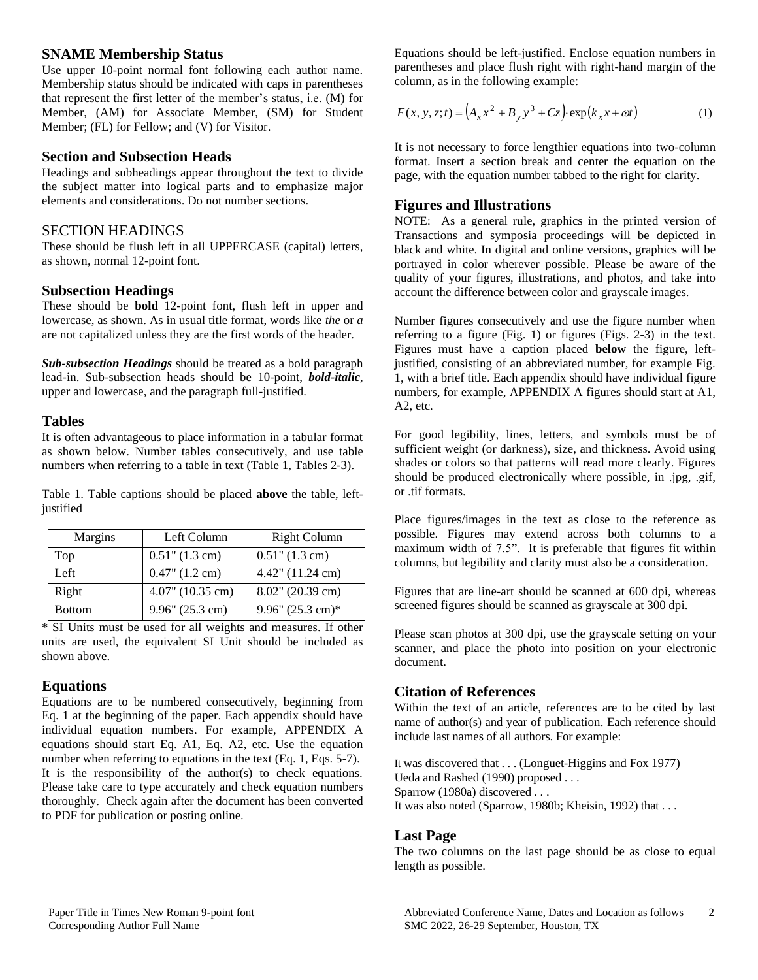## **SNAME Membership Status**

Use upper 10-point normal font following each author name. Membership status should be indicated with caps in parentheses that represent the first letter of the member's status, i.e. (M) for Member, (AM) for Associate Member, (SM) for Student Member; (FL) for Fellow; and (V) for Visitor.

#### **Section and Subsection Heads**

Headings and subheadings appear throughout the text to divide the subject matter into logical parts and to emphasize major elements and considerations. Do not number sections.

#### SECTION HEADINGS

These should be flush left in all UPPERCASE (capital) letters, as shown, normal 12-point font.

#### **Subsection Headings**

These should be **bold** 12-point font, flush left in upper and lowercase, as shown. As in usual title format, words like *the* or *a* are not capitalized unless they are the first words of the header.

*Sub-subsection Headings* should be treated as a bold paragraph lead-in. Sub-subsection heads should be 10-point, *bold-italic*, upper and lowercase, and the paragraph full-justified.

## **Tables**

It is often advantageous to place information in a tabular format as shown below. Number tables consecutively, and use table numbers when referring to a table in text (Table 1, Tables 2-3).

Table 1. Table captions should be placed **above** the table, leftjustified

| Margins | Left Column                 | <b>Right Column</b>           |
|---------|-----------------------------|-------------------------------|
| Top     | $0.51$ " $(1.3 \text{ cm})$ | $0.51$ " $(1.3 \text{ cm})$   |
| Left    | $0.47$ " $(1.2 \text{ cm})$ | $4.42$ " $(11.24 \text{ cm})$ |
| Right   | $4.07$ " (10.35 cm)         | $8.02$ " (20.39 cm)           |
| Bottom  | $9.96''$ (25.3 cm)          | 9.96" $(25.3 \text{ cm})$ *   |

\* SI Units must be used for all weights and measures. If other units are used, the equivalent SI Unit should be included as shown above.

## **Equations**

Equations are to be numbered consecutively, beginning from Eq. 1 at the beginning of the paper. Each appendix should have individual equation numbers. For example, APPENDIX A equations should start Eq. A1, Eq. A2, etc. Use the equation number when referring to equations in the text (Eq. 1, Eqs. 5-7). It is the responsibility of the author(s) to check equations. Please take care to type accurately and check equation numbers thoroughly. Check again after the document has been converted to PDF for publication or posting online.

Equations should be left-justified. Enclose equation numbers in parentheses and place flush right with right-hand margin of the column, as in the following example:

$$
F(x, y, z; t) = (A_x x^2 + B_y y^3 + C_z) \exp(k_x x + \omega t)
$$
 (1)

It is not necessary to force lengthier equations into two-column format. Insert a section break and center the equation on the page, with the equation number tabbed to the right for clarity.

## **Figures and Illustrations**

NOTE: As a general rule, graphics in the printed version of Transactions and symposia proceedings will be depicted in black and white. In digital and online versions, graphics will be portrayed in color wherever possible. Please be aware of the quality of your figures, illustrations, and photos, and take into account the difference between color and grayscale images.

Number figures consecutively and use the figure number when referring to a figure (Fig. 1) or figures (Figs. 2-3) in the text. Figures must have a caption placed **below** the figure, leftjustified, consisting of an abbreviated number, for example Fig. 1, with a brief title. Each appendix should have individual figure numbers, for example, APPENDIX A figures should start at A1, A2, etc.

For good legibility, lines, letters, and symbols must be of sufficient weight (or darkness), size, and thickness. Avoid using shades or colors so that patterns will read more clearly. Figures should be produced electronically where possible, in .jpg, .gif, or .tif formats.

Place figures/images in the text as close to the reference as possible. Figures may extend across both columns to a maximum width of 7.5". It is preferable that figures fit within columns, but legibility and clarity must also be a consideration.

Figures that are line-art should be scanned at 600 dpi, whereas screened figures should be scanned as grayscale at 300 dpi.

Please scan photos at 300 dpi, use the grayscale setting on your scanner, and place the photo into position on your electronic document.

## **Citation of References**

Within the text of an article, references are to be cited by last name of author(s) and year of publication. Each reference should include last names of all authors. For example:

It was discovered that . . . (Longuet-Higgins and Fox 1977) Ueda and Rashed (1990) proposed . . . Sparrow (1980a) discovered . . . It was also noted (Sparrow, 1980b; Kheisin, 1992) that . . .

## **Last Page**

The two columns on the last page should be as close to equal length as possible.